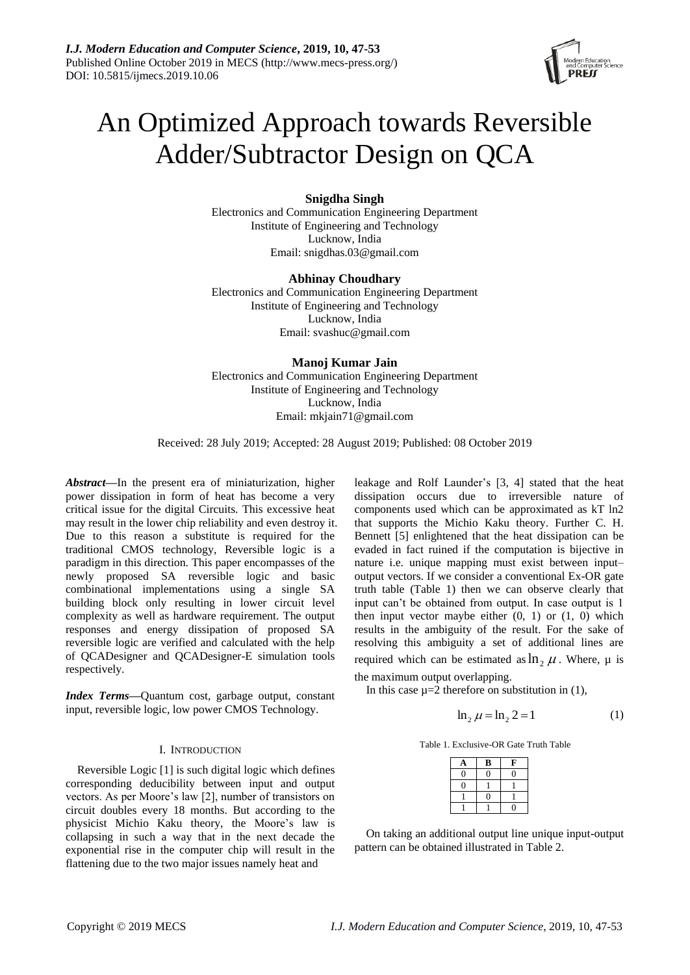

# An Optimized Approach towards Reversible Adder/Subtractor Design on QCA

**Snigdha Singh**

Electronics and Communication Engineering Department Institute of Engineering and Technology Lucknow, India Email: snigdhas.03@gmail.com

# **Abhinay Choudhary**

Electronics and Communication Engineering Department Institute of Engineering and Technology Lucknow, India Email: svashuc@gmail.com

# **Manoj Kumar Jain**

Electronics and Communication Engineering Department Institute of Engineering and Technology Lucknow, India Email: mkjain71@gmail.com

Received: 28 July 2019; Accepted: 28 August 2019; Published: 08 October 2019

*Abstract***—**In the present era of miniaturization, higher power dissipation in form of heat has become a very critical issue for the digital Circuits. This excessive heat may result in the lower chip reliability and even destroy it. Due to this reason a substitute is required for the traditional CMOS technology, Reversible logic is a paradigm in this direction. This paper encompasses of the newly proposed SA reversible logic and basic combinational implementations using a single SA building block only resulting in lower circuit level complexity as well as hardware requirement. The output responses and energy dissipation of proposed SA reversible logic are verified and calculated with the help of QCADesigner and QCADesigner-E simulation tools respectively.

*Index Terms***—**Quantum cost, garbage output, constant input, reversible logic, low power CMOS Technology.

# I. INTRODUCTION

Reversible Logic [1] is such digital logic which defines corresponding deducibility between input and output vectors. As per Moore's law [2], number of transistors on circuit doubles every 18 months. But according to the physicist Michio Kaku theory, the Moore's law is collapsing in such a way that in the next decade the exponential rise in the computer chip will result in the flattening due to the two major issues namely heat and

leakage and Rolf Launder's [3, 4] stated that the heat dissipation occurs due to irreversible nature of components used which can be approximated as kT ln2 that supports the Michio Kaku theory. Further C. H. Bennett [5] enlightened that the heat dissipation can be evaded in fact ruined if the computation is bijective in nature i.e. unique mapping must exist between input– output vectors. If we consider a conventional Ex-OR gate truth table (Table 1) then we can observe clearly that input can't be obtained from output. In case output is 1 then input vector maybe either  $(0, 1)$  or  $(1, 0)$  which results in the ambiguity of the result. For the sake of resolving this ambiguity a set of additional lines are required which can be estimated as  $\ln_2 \mu$ . Where,  $\mu$  is

the maximum output overlapping.

In this case  $\mu=2$  therefore on substitution in (1),

$$
\ln_2 \mu = \ln_2 2 = 1 \tag{1}
$$

Table 1. Exclusive-OR Gate Truth Table

| А        | B  | F  |
|----------|----|----|
| $\theta$ | 11 | በ  |
| I)       |    |    |
|          | 1  |    |
|          |    | 11 |

On taking an additional output line unique input-output pattern can be obtained illustrated in Table 2.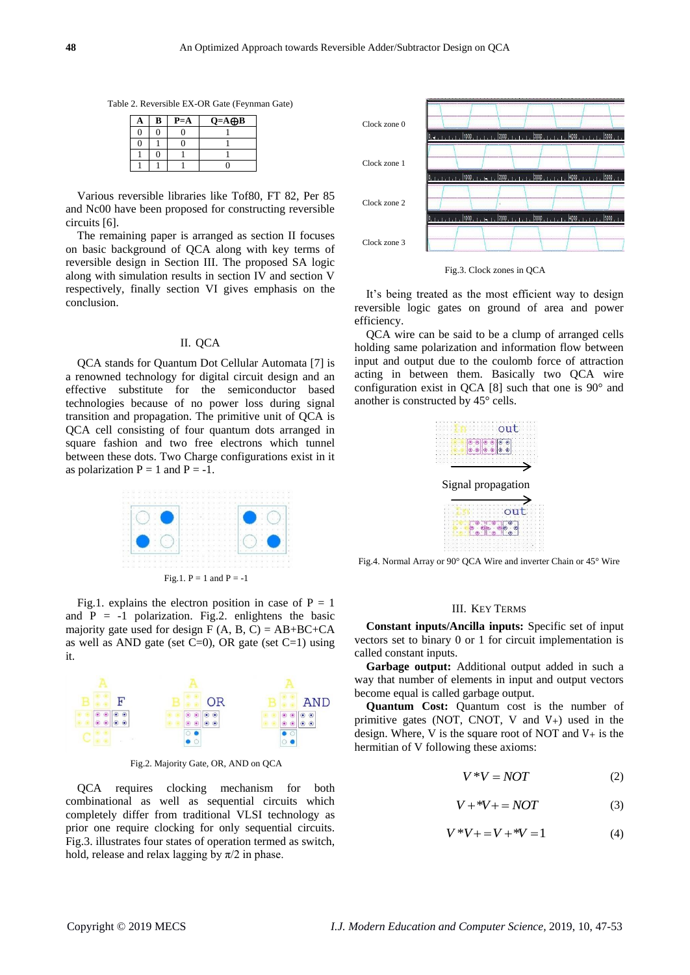Table 2. Reversible EX-OR Gate (Feynman Gate)

| a | B | $P = A$ | $Q = A \bigoplus B$ |
|---|---|---------|---------------------|
| 0 |   |         |                     |
| N |   |         |                     |
|   |   |         |                     |
|   |   |         |                     |

Various reversible libraries like Tof80, FT 82, Per 85 and Nc00 have been proposed for constructing reversible circuits [6].

The remaining paper is arranged as section II focuses on basic background of QCA along with key terms of reversible design in Section III. The proposed SA logic along with simulation results in section IV and section V respectively, finally section VI gives emphasis on the conclusion.

# II. QCA

QCA stands for Quantum Dot Cellular Automata [7] is a renowned technology for digital circuit design and an effective substitute for the semiconductor based technologies because of no power loss during signal transition and propagation. The primitive unit of QCA is QCA cell consisting of four quantum dots arranged in square fashion and two free electrons which tunnel between these dots. Two Charge configurations exist in it as polarization  $P = 1$  and  $P = -1$ .



Fig.1. explains the electron position in case of  $P = 1$ and  $P = -1$  polarization. Fig.2. enlightens the basic majority gate used for design  $F(A, B, C) = AB + BC + CA$ as well as AND gate (set  $C=0$ ), OR gate (set  $C=1$ ) using it.



Fig.2. Majority Gate, OR, AND on QCA

QCA requires clocking mechanism for both combinational as well as sequential circuits which completely differ from traditional VLSI technology as prior one require clocking for only sequential circuits. Fig.3. illustrates four states of operation termed as switch, hold, release and relax lagging by  $\pi/2$  in phase.



Fig.3. Clock zones in QCA

It's being treated as the most efficient way to design reversible logic gates on ground of area and power efficiency.

QCA wire can be said to be a clump of arranged cells holding same polarization and information flow between input and output due to the coulomb force of attraction acting in between them. Basically two QCA wire configuration exist in QCA  $[8]$  such that one is 90 $^{\circ}$  and another is constructed by 45° cells.



Fig.4. Normal Array or 90° QCA Wire and inverter Chain or 45° Wire

#### III. KEY TERMS

**Constant inputs/Ancilla inputs:** Specific set of input vectors set to binary 0 or 1 for circuit implementation is called constant inputs.

**Garbage output:** Additional output added in such a way that number of elements in input and output vectors become equal is called garbage output.

**Quantum Cost:** Quantum cost is the number of primitive gates (NOT, CNOT, V and V+) used in the design. Where, V is the square root of NOT and  $V_{+}$  is the hermitian of V following these axioms:

$$
V^*V = NOT \tag{2}
$$

$$
V + *V + = NOT \tag{3}
$$

$$
V^*V + = V + ^*V = 1
$$
 (4)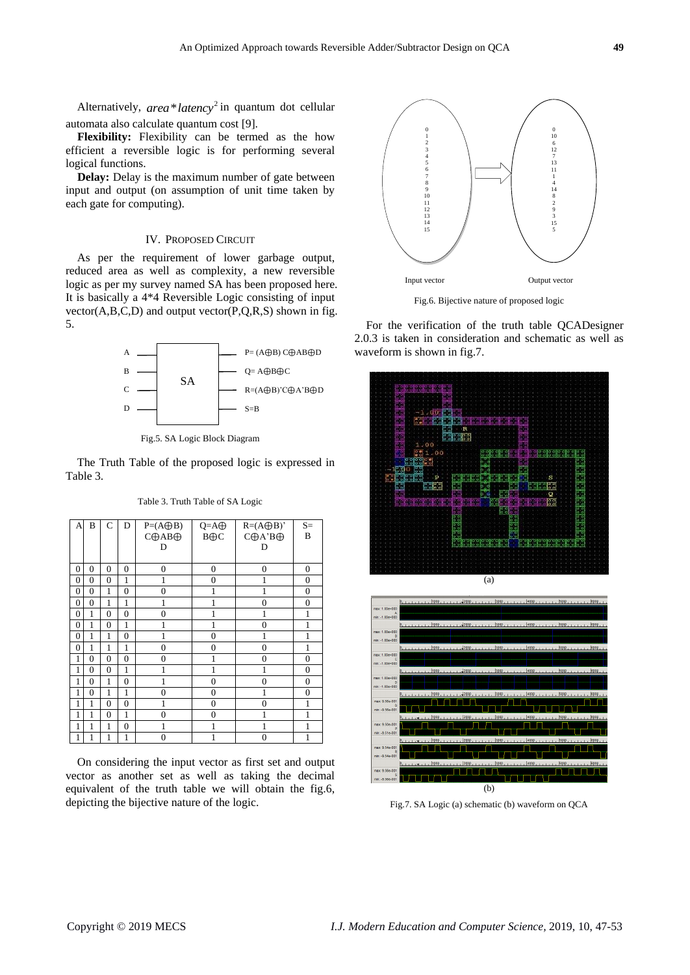Alternatively, *area* \* *latency*<sup>2</sup> in quantum dot cellular automata also calculate quantum cost [9].

**Flexibility:** Flexibility can be termed as the how efficient a reversible logic is for performing several logical functions.

**Delay:** Delay is the maximum number of gate between input and output (on assumption of unit time taken by each gate for computing).

#### IV. PROPOSED CIRCUIT

As per the requirement of lower garbage output, reduced area as well as complexity, a new reversible logic as per my survey named SA has been proposed here. It is basically a 4\*4 Reversible Logic consisting of input  $vector(A,B,C,D)$  and output  $vector(P,Q,R,S)$  shown in fig. 5.



Fig.5. SA Logic Block Diagram

The Truth Table of the proposed logic is expressed in Table 3.

| A                | B                | C                | D                | $P=(A\bigoplus B)$ | $Q = A \oplus$ | $R=(A\bigoplus B)'$      | $S=$             |
|------------------|------------------|------------------|------------------|--------------------|----------------|--------------------------|------------------|
|                  |                  |                  |                  | С⊕АВ⊕              | $B \oplus C$   | $C \oplus A$ 'B $\oplus$ | B                |
|                  |                  |                  |                  | D                  |                | D                        |                  |
|                  |                  |                  |                  |                    |                |                          |                  |
| $\mathbf{0}$     | $\overline{0}$   | $\overline{0}$   | $\overline{0}$   | $\overline{0}$     | $\overline{0}$ | $\mathbf{0}$             | $\mathbf{0}$     |
| $\mathbf{0}$     | $\mathbf{0}$     | $\overline{0}$   | $\mathbf{1}$     | 1                  | $\overline{0}$ | 1                        | $\mathbf{0}$     |
| $\boldsymbol{0}$ | $\boldsymbol{0}$ | 1                | $\boldsymbol{0}$ | $\overline{0}$     | 1              | 1                        | $\boldsymbol{0}$ |
| $\mathbf{0}$     | $\overline{0}$   | 1                | 1                | 1                  | 1              | $\overline{0}$           | $\mathbf{0}$     |
| $\mathbf{0}$     | $\mathbf{1}$     | $\overline{0}$   | $\overline{0}$   | $\overline{0}$     | 1              | 1                        | $\mathbf{1}$     |
| $\overline{0}$   | $\mathbf{1}$     | $\overline{0}$   | $\mathbf{1}$     | 1                  | 1              | $\theta$                 | $\mathbf{1}$     |
| $\mathbf{0}$     | 1                | 1                | $\overline{0}$   | 1                  | $\mathbf{0}$   | 1                        | 1                |
| $\mathbf{0}$     | 1                | 1                | 1                | $\overline{0}$     | $\overline{0}$ | $\overline{0}$           | 1                |
| $\mathbf{1}$     | $\overline{0}$   | $\overline{0}$   | $\overline{0}$   | $\overline{0}$     | 1              | 0                        | $\mathbf{0}$     |
| $\mathbf{1}$     | $\mathbf{0}$     | $\boldsymbol{0}$ | $\mathbf{1}$     | 1                  | 1              | 1                        | $\mathbf{0}$     |
| 1                | $\overline{0}$   | 1                | $\overline{0}$   | 1                  | $\mathbf{0}$   | 0                        | $\mathbf{0}$     |
| 1                | $\overline{0}$   | 1                | 1                | $\overline{0}$     | $\mathbf{0}$   | 1                        | $\mathbf{0}$     |
| $\mathbf{1}$     | $\mathbf{1}$     | $\overline{0}$   | $\overline{0}$   | 1                  | $\overline{0}$ | $\theta$                 | 1                |
| $\mathbf{1}$     | $\mathbf{1}$     | $\overline{0}$   | $\mathbf{1}$     | $\boldsymbol{0}$   | $\mathbf{0}$   | 1                        | 1                |
| $\mathbf{1}$     | $\mathbf{1}$     | 1                | $\overline{0}$   | 1                  | 1              | 1                        | 1                |
| 1                | 1                | 1                | 1                | $\overline{0}$     | 1              | $\overline{0}$           | $\mathbf{1}$     |

Table 3. Truth Table of SA Logic

On considering the input vector as first set and output vector as another set as well as taking the decimal equivalent of the truth table we will obtain the fig.6, depicting the bijective nature of the logic.



Fig.6. Bijective nature of proposed logic

For the verification of the truth table QCADesigner 2.0.3 is taken in consideration and schematic as well as waveform is shown in fig.7.





Fig.7. SA Logic (a) schematic (b) waveform on QCA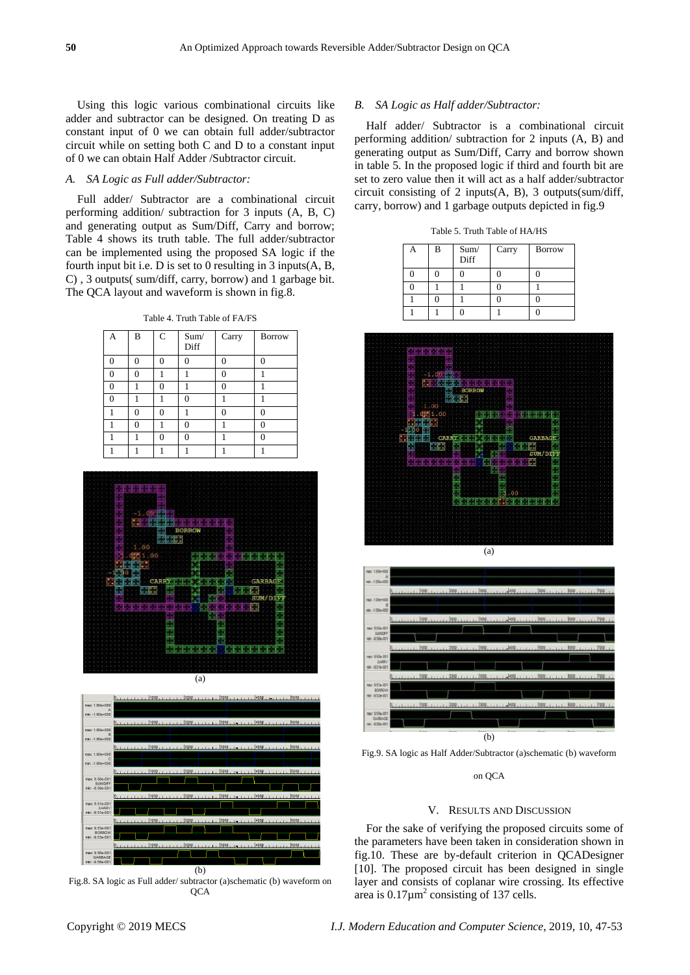Using this logic various combinational circuits like adder and subtractor can be designed. On treating D as constant input of 0 we can obtain full adder/subtractor circuit while on setting both C and D to a constant input of 0 we can obtain Half Adder /Subtractor circuit.

# *A. SA Logic as Full adder/Subtractor:*

Full adder/ Subtractor are a combinational circuit performing addition/ subtraction for 3 inputs (A, B, C) and generating output as Sum/Diff, Carry and borrow; Table 4 shows its truth table. The full adder/subtractor can be implemented using the proposed SA logic if the fourth input bit i.e. D is set to 0 resulting in 3 inputs(A, B, C) , 3 outputs( sum/diff, carry, borrow) and 1 garbage bit. The QCA layout and waveform is shown in fig.8.

Table 4. Truth Table of FA/FS

| A | B | $\mathsf{C}$ | Sum/<br>Diff | Carry | <b>Borrow</b> |
|---|---|--------------|--------------|-------|---------------|
| 0 | 0 | 0            | O            |       | 0             |
| 0 | 0 |              |              | ∩     |               |
| 0 |   | O            |              | ſ     |               |
| 0 |   |              | 0            |       |               |
|   | 0 | ∩            |              |       | C             |
|   | 0 |              | 0            |       | 0             |
|   |   | O            | O            |       | O             |
|   |   |              |              |       |               |





Fig.8. SA logic as Full adder/ subtractor (a)schematic (b) waveform on QCA

#### *B. SA Logic as Half adder/Subtractor:*

Half adder/ Subtractor is a combinational circuit performing addition/ subtraction for 2 inputs (A, B) and generating output as Sum/Diff, Carry and borrow shown in table 5. In the proposed logic if third and fourth bit are set to zero value then it will act as a half adder/subtractor circuit consisting of 2 inputs(A, B), 3 outputs(sum/diff, carry, borrow) and 1 garbage outputs depicted in fig.9

Table 5. Truth Table of HA/HS

| B | Sum/<br>Diff | Carry | <b>Borrow</b> |
|---|--------------|-------|---------------|
|   |              |       |               |
|   |              |       |               |
|   |              |       |               |
|   |              |       |               |







on QCA

#### V. RESULTS AND DISCUSSION

For the sake of verifying the proposed circuits some of the parameters have been taken in consideration shown in fig.10. These are by-default criterion in QCADesigner [10]. The proposed circuit has been designed in single layer and consists of coplanar wire crossing. Its effective area is  $0.17 \,\mathrm{\upmu m}^2$  consisting of 137 cells.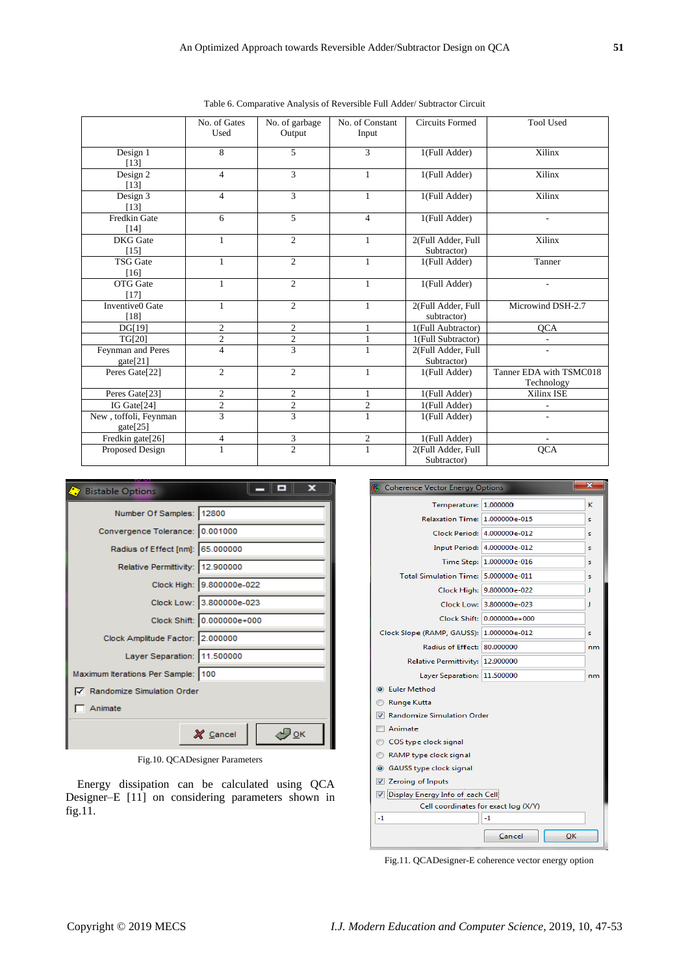|                                   | No. of Gates<br>Used | No. of garbage<br>Output | No. of Constant<br>Input | <b>Circuits Formed</b>               | <b>Tool Used</b>                      |
|-----------------------------------|----------------------|--------------------------|--------------------------|--------------------------------------|---------------------------------------|
| Design 1<br>[13]                  | 8                    | 5                        | 3                        | 1(Full Adder)                        | Xilinx                                |
| Design 2<br>[13]                  | $\overline{4}$       | 3                        | 1                        | 1(Full Adder)                        | Xilinx                                |
| Design $3$<br>[13]                | $\overline{4}$       | 3                        | $\mathbf{1}$             | 1(Full Adder)                        | Xilinx                                |
| Fredkin Gate<br>$[14]$            | 6                    | 5                        | $\overline{4}$           | 1(Full Adder)                        | $\overline{\phantom{a}}$              |
| <b>DKG</b> Gate<br>$[15]$         | 1                    | $\overline{c}$           | $\mathbf{1}$             | 2(Full Adder, Full<br>Subtractor)    | Xilinx                                |
| <b>TSG</b> Gate<br>[16]           | 1                    | $\overline{2}$           | $\mathbf{1}$             | 1(Full Adder)                        | Tanner                                |
| <b>OTG</b> Gate<br>[17]           | 1                    | $\overline{2}$           | 1                        | 1(Full Adder)                        | $\overline{\phantom{a}}$              |
| <b>Inventive0</b> Gate<br>[18]    | 1                    | $\overline{2}$           | $\mathbf{1}$             | $2$ (Full Adder, Full<br>subtractor) | Microwind DSH-2.7                     |
| DG[19]                            | $\overline{c}$       | $\overline{c}$           | $\mathbf{1}$             | 1(Full Aubtractor)                   | <b>OCA</b>                            |
| <b>TG[20]</b>                     | $\overline{c}$       | $\mathbf{2}$             | $\mathbf{1}$             | 1(Full Subtractor)                   | $\overline{\phantom{a}}$              |
| Feynman and Peres<br>gate[21]     | $\overline{4}$       | $\overline{3}$           | 1                        | 2(Full Adder, Full<br>Subtractor)    | ٠                                     |
| Peres Gate[22]                    | $\overline{c}$       | 2                        | 1                        | 1(Full Adder)                        | Tanner EDA with TSMC018<br>Technology |
| Peres Gate[23]                    | $\overline{c}$       | $\overline{c}$           | 1                        | 1(Full Adder)                        | Xilinx ISE                            |
| IG Gate[24]                       | $\overline{2}$       | $\boldsymbol{2}$         | $\mathfrak{2}$           | 1(Full Adder)                        |                                       |
| New, toffoli, Feynman<br>gate[25] | 3                    | $\overline{3}$           | $\mathbf{1}$             | 1(Full Adder)                        | $\overline{a}$                        |
| Fredkin gate[26]                  | $\overline{4}$       | 3                        | $\mathfrak{2}$           | 1(Full Adder)                        |                                       |
| Proposed Design                   | 1                    | $\overline{2}$           | $\mathbf{1}$             | 2(Full Adder, Full<br>Subtractor)    | <b>QCA</b>                            |

Table 6. Comparative Analysis of Reversible Full Adder/ Subtractor Circuit

| <b>Bistable Options</b>            | ш<br>ж                     |  |  |  |
|------------------------------------|----------------------------|--|--|--|
| Number Of Samples: 12800           |                            |  |  |  |
| Convergence Tolerance: 0.001000    |                            |  |  |  |
| Radius of Effect [nm]: 65.000000   |                            |  |  |  |
| Relative Permittivity: 12.900000   |                            |  |  |  |
|                                    | Clock High: 9.800000e-022  |  |  |  |
|                                    | Clock Low: 3.800000e-023   |  |  |  |
|                                    | Clock Shift: 0.000000e+000 |  |  |  |
| Clock Amplitude Factor: 2.000000   |                            |  |  |  |
| Layer Separation: 11.500000        |                            |  |  |  |
| Maximum Iterations Per Sample: 100 |                            |  |  |  |
| Randomize Simulation Order         |                            |  |  |  |
| Animate                            |                            |  |  |  |
| X Cancel<br><b>OK</b>              |                            |  |  |  |

Fig.10. QCADesigner Parameters

Energy dissipation can be calculated using QCA Designer–E [11] on considering parameters shown in fig.11.



Fig.11. QCADesigner-E coherence vector energy option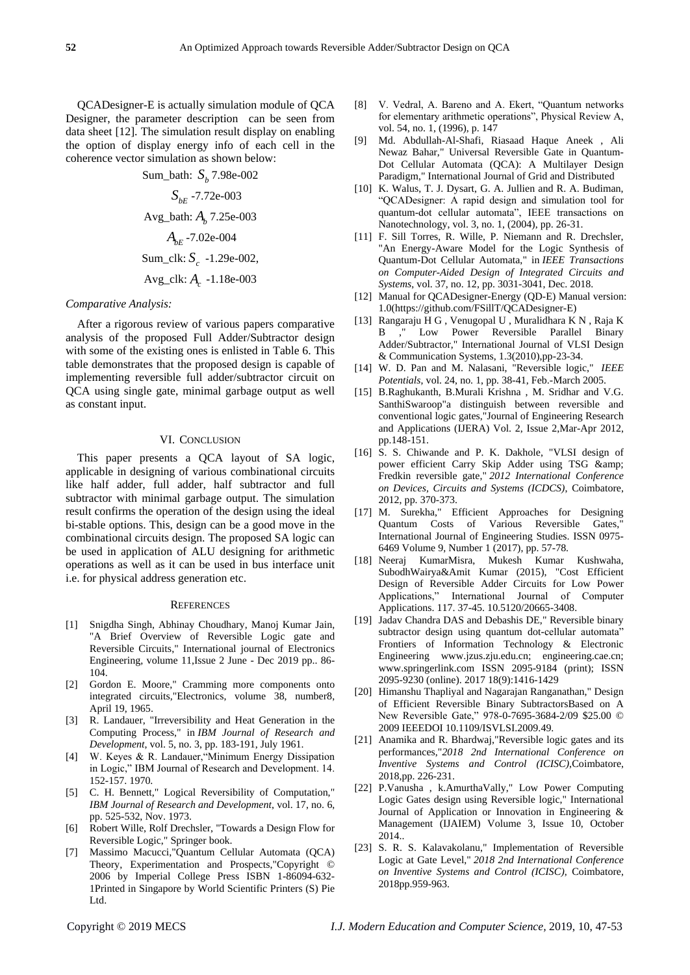QCADesigner-E is actually simulation module of QCA Designer, the parameter description can be seen from data sheet [12]. The simulation result display on enabling the option of display energy info of each cell in the coherence vector simulation as shown below:

Sum\_bath: *b S* 7.98e-002

 $S_{<sub>bf</sub>}$  -7.72e-003 Avg\_bath: *Ab* 7.25e-003 *AbE* -7.02e-004 Sum\_clk: *<sup>c</sup> S* -1.29e-002, Avg\_clk: *A c* -1.18e-003

#### *Comparative Analysis:*

After a rigorous review of various papers comparative analysis of the proposed Full Adder/Subtractor design with some of the existing ones is enlisted in Table 6. This table demonstrates that the proposed design is capable of implementing reversible full adder/subtractor circuit on QCA using single gate, minimal garbage output as well as constant input.

# VI. CONCLUSION

This paper presents a QCA layout of SA logic, applicable in designing of various combinational circuits like half adder, full adder, half subtractor and full subtractor with minimal garbage output. The simulation result confirms the operation of the design using the ideal bi-stable options. This, design can be a good move in the combinational circuits design. The proposed SA logic can be used in application of ALU designing for arithmetic operations as well as it can be used in bus interface unit i.e. for physical address generation etc.

#### **REFERENCES**

- [1] Snigdha Singh, Abhinay Choudhary, Manoj Kumar Jain, "A Brief Overview of Reversible Logic gate and Reversible Circuits," International journal of Electronics Engineering, volume 11,Issue 2 June - Dec 2019 pp.. 86- 104.
- [2] Gordon E. Moore," Cramming more components onto integrated circuits,"Electronics, volume 38, number8, April 19, 1965.
- [3] R. Landauer, "Irreversibility and Heat Generation in the Computing Process," in *IBM Journal of Research and Development*, vol. 5, no. 3, pp. 183-191, July 1961.
- [4] W. Keyes & R. Landauer,"Minimum Energy Dissipation in Logic," IBM Journal of Research and Development. 14. 152-157. 1970.
- [5] C. H. Bennett," Logical Reversibility of Computation," *IBM Journal of Research and Development*, vol. 17, no. 6, pp. 525-532, Nov. 1973.
- [6] Robert Wille, Rolf Drechsler, "Towards a Design Flow for Reversible Logic," Springer book.
- [7] Massimo Macucci,"Quantum Cellular Automata (QCA) Theory, Experimentation and Prospects,"Copyright © 2006 by Imperial College Press ISBN 1-86094-632- 1Printed in Singapore by World Scientific Printers (S) Pie Ltd.
- [8] V. Vedral, A. Bareno and A. Ekert, "Quantum networks for elementary arithmetic operations", Physical Review A, vol. 54, no. 1, (1996), p. 147
- [9] Md. Abdullah-Al-Shafi, Riasaad Haque Aneek , Ali Newaz Bahar," Universal Reversible Gate in Quantum-Dot Cellular Automata (QCA): A Multilayer Design Paradigm," International Journal of Grid and Distributed
- [10] K. Walus, T. J. Dysart, G. A. Jullien and R. A. Budiman, "QCADesigner: A rapid design and simulation tool for quantum-dot cellular automata", IEEE transactions on Nanotechnology, vol. 3, no. 1, (2004), pp. 26-31.
- [11] F. Sill Torres, R. Wille, P. Niemann and R. Drechsler, "An Energy-Aware Model for the Logic Synthesis of Quantum-Dot Cellular Automata," in *IEEE Transactions on Computer-Aided Design of Integrated Circuits and Systems*, vol. 37, no. 12, pp. 3031-3041, Dec. 2018.
- [12] Manual for QCADesigner-Energy (QD-E) Manual version: 1.0[\(https://github.com/FSillT/QCADesigner-E\)](https://github.com/FSillT/QCADesigner-E)
- [13] Rangaraju H G , Venugopal U , Muralidhara K N , Raja K B ," Low Power Reversible Parallel Binary Adder/Subtractor," International Journal of VLSI Design & Communication Systems, 1.3(2010),pp-23-34.
- [14] W. D. Pan and M. Nalasani, "Reversible logic," *IEEE Potentials*, vol. 24, no. 1, pp. 38-41, Feb.-March 2005.
- [15] B.Raghukanth, B.Murali Krishna , M. Sridhar and V.G. SanthiSwaroop"a distinguish between reversible and conventional logic gates,"Journal of Engineering Research and Applications (IJERA) Vol. 2, Issue 2,Mar-Apr 2012, pp.148-151.
- [16] S. S. Chiwande and P. K. Dakhole, "VLSI design of power efficient Carry Skip Adder using TSG & Fredkin reversible gate," *2012 International Conference on Devices, Circuits and Systems (ICDCS)*, Coimbatore, 2012, pp. 370-373.
- [17] M. Surekha," Efficient Approaches for Designing Quantum Costs of Various Reversible Gates," International Journal of Engineering Studies. ISSN 0975- 6469 Volume 9, Number 1 (2017), pp. 57-78.
- [18] Neeraj KumarMisra, Mukesh Kumar Kushwaha, SubodhWairya&Amit Kumar (2015), "Cost Efficient Design of Reversible Adder Circuits for Low Power Applications," International Journal of Computer Applications. 117. 37-45. 10.5120/20665-3408.
- [19] Jadav Chandra DAS and Debashis DE," Reversible binary subtractor design using quantum dot-cellular automata" Frontiers of Information Technology & Electronic Engineering www.jzus.zju.edu.cn; engineering.cae.cn; www.springerlink.com ISSN 2095-9184 (print); ISSN 2095-9230 (online). 2017 18(9):1416-1429
- [20] Himanshu Thapliyal and Nagarajan Ranganathan," Design of Efficient Reversible Binary SubtractorsBased on A New Reversible Gate," 978-0-7695-3684-2/09 \$25.00 © 2009 IEEEDOI 10.1109/ISVLSI.2009.49.
- [21] Anamika and R. Bhardwaj,"Reversible logic gates and its performances,"*2018 2nd International Conference on Inventive Systems and Control (ICISC)*,Coimbatore, 2018,pp. 226-231.
- [22] P.Vanusha , k.AmurthaVally," Low Power Computing Logic Gates design using Reversible logic," International Journal of Application or Innovation in Engineering & Management (IJAIEM) Volume 3, Issue 10, October 2014..
- [23] S. R. S. Kalavakolanu," Implementation of Reversible Logic at Gate Level," *2018 2nd International Conference on Inventive Systems and Control (ICISC)*, Coimbatore, 2018pp.959-963.